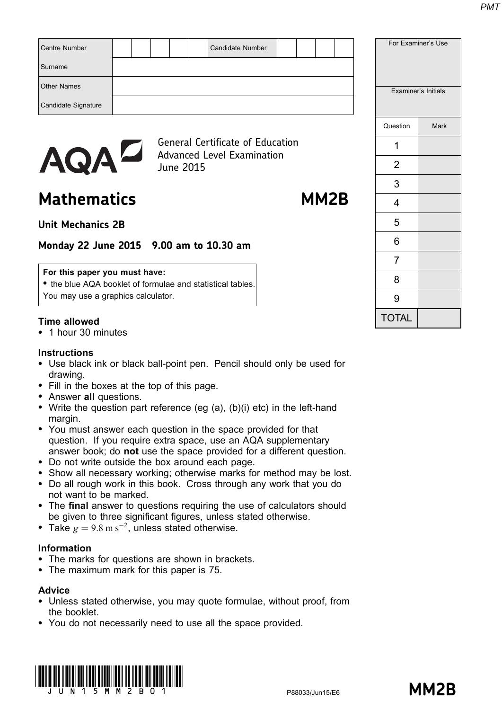| <b>AQAL</b>          |  | <b>June 2015</b> | <b>General Certificate of Education</b><br><b>Advanced Level Examination</b> |  |  |  | າ                  |                     |
|----------------------|--|------------------|------------------------------------------------------------------------------|--|--|--|--------------------|---------------------|
|                      |  |                  |                                                                              |  |  |  | Question           | Mark                |
| Candidate Signature  |  |                  |                                                                              |  |  |  |                    |                     |
| <b>Other Names</b>   |  |                  |                                                                              |  |  |  |                    | Examiner's Initials |
| Surname              |  |                  |                                                                              |  |  |  |                    |                     |
| <b>Centre Number</b> |  |                  | <b>Candidate Number</b>                                                      |  |  |  | For Examiner's Use |                     |

Mathematics MM2B

TVIT

3

4

5

6

7

8

9

TOTAL

# Unit Mechanics 2B

# Monday 22 June 2015 9.00 am to 10.30 am

#### For this paper you must have:

• the blue AQA booklet of formulae and statistical tables. You may use a graphics calculator.

## Time allowed

\* 1 hour 30 minutes

#### **Instructions**

- Use black ink or black ball-point pen. Pencil should only be used for drawing.
- Fill in the boxes at the top of this page.
- Answer all questions.
- Write the question part reference (eg  $(a)$ ,  $(b)(i)$  etc) in the left-hand margin.
- You must answer each question in the space provided for that question. If you require extra space, use an AQA supplementary answer book; do not use the space provided for a different question.
- \* Do not write outside the box around each page.
- Show all necessary working; otherwise marks for method may be lost.
- \* Do all rough work in this book. Cross through any work that you do not want to be marked.
- The final answer to questions requiring the use of calculators should be given to three significant figures, unless stated otherwise.
- Take  $g = 9.8 \text{ m s}^{-2}$ , unless stated otherwise.

#### Information

- The marks for questions are shown in brackets.
- The maximum mark for this paper is 75.

## Advice

- \* Unless stated otherwise, you may quote formulae, without proof, from the booklet.
- \* You do not necessarily need to use all the space provided.

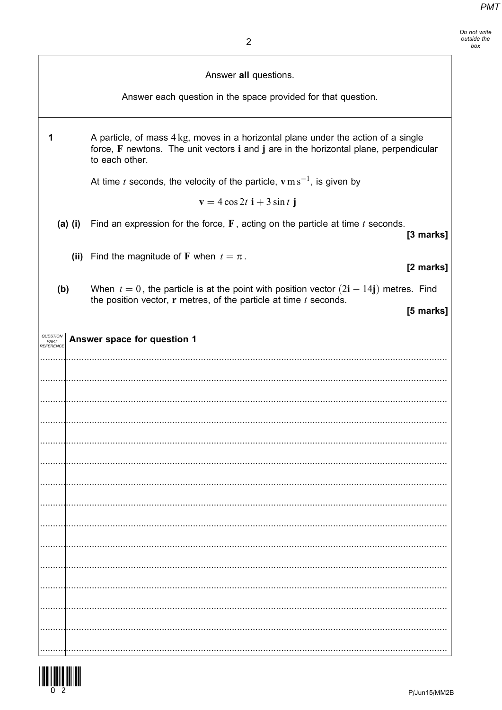|                               | Answer all questions.                                                                                                                                                                         |
|-------------------------------|-----------------------------------------------------------------------------------------------------------------------------------------------------------------------------------------------|
|                               | Answer each question in the space provided for that question.                                                                                                                                 |
| 1                             | A particle, of mass 4 kg, moves in a horizontal plane under the action of a single<br>force, F newtons. The unit vectors i and j are in the horizontal plane, perpendicular<br>to each other. |
|                               | At time t seconds, the velocity of the particle, $v \, \text{m s}^{-1}$ , is given by                                                                                                         |
|                               | $\mathbf{v} = 4\cos 2t \mathbf{i} + 3\sin t \mathbf{j}$                                                                                                                                       |
| $(a)$ (i)                     | Find an expression for the force, $F$ , acting on the particle at time $t$ seconds.<br>[3 marks]                                                                                              |
|                               | (ii) Find the magnitude of F when $t = \pi$ .<br>[2 marks]                                                                                                                                    |
| (b)                           | When $t = 0$ , the particle is at the point with position vector $(2\mathbf{i} - 14\mathbf{j})$ metres. Find<br>the position vector, $r$ metres, of the particle at time $t$ seconds.         |
|                               | [5 marks]                                                                                                                                                                                     |
| QUESTION<br>PART<br>REFERENCE | Answer space for question 1                                                                                                                                                                   |
|                               |                                                                                                                                                                                               |
|                               |                                                                                                                                                                                               |
|                               |                                                                                                                                                                                               |
|                               |                                                                                                                                                                                               |
|                               |                                                                                                                                                                                               |
|                               |                                                                                                                                                                                               |
|                               |                                                                                                                                                                                               |
|                               |                                                                                                                                                                                               |
|                               |                                                                                                                                                                                               |
|                               |                                                                                                                                                                                               |
|                               |                                                                                                                                                                                               |
|                               |                                                                                                                                                                                               |
|                               |                                                                                                                                                                                               |
|                               |                                                                                                                                                                                               |
|                               |                                                                                                                                                                                               |

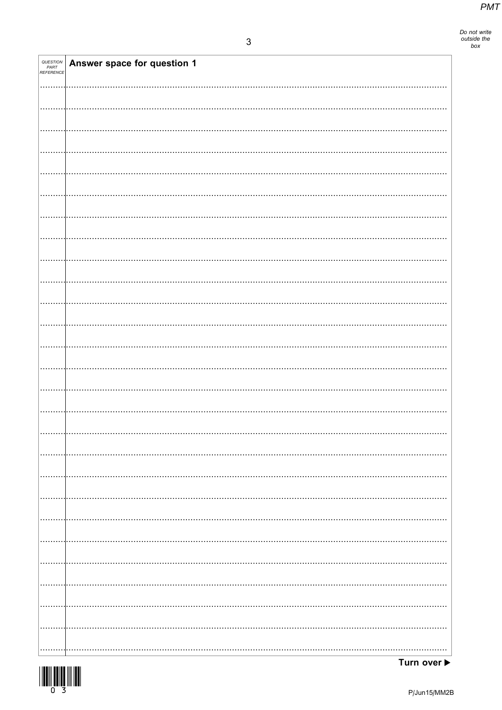| <b>QUESTION<br/>PART<br/>REFERENCE</b> | Answer space for question 1 |
|----------------------------------------|-----------------------------|
|                                        |                             |
|                                        |                             |
|                                        |                             |
|                                        |                             |
|                                        |                             |
|                                        |                             |
|                                        |                             |
|                                        |                             |
|                                        |                             |
|                                        |                             |
|                                        |                             |
|                                        |                             |
|                                        |                             |
|                                        |                             |
|                                        |                             |
|                                        |                             |
|                                        |                             |
|                                        |                             |
|                                        |                             |
|                                        |                             |
|                                        |                             |
|                                        |                             |
|                                        |                             |
|                                        |                             |
|                                        |                             |
|                                        |                             |
|                                        |                             |
|                                        |                             |
|                                        |                             |
| .                                      | .                           |
| .                                      | .                           |
| .                                      |                             |
|                                        |                             |
|                                        |                             |
|                                        |                             |
|                                        |                             |

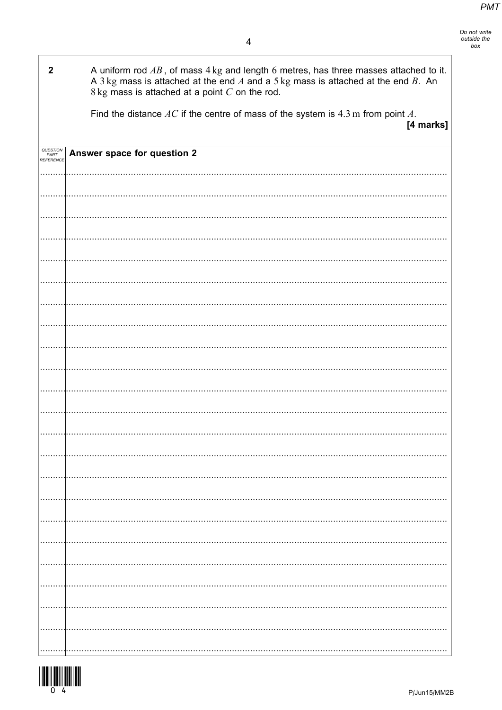| $\mathbf{2}$                 | A uniform rod $AB$ , of mass $4 \text{ kg}$ and length 6 metres, has three masses attached to it.<br>A 3 kg mass is attached at the end $A$ and a 5 kg mass is attached at the end $B$ . An<br>$8 \text{ kg}$ mass is attached at a point $C$ on the rod. |
|------------------------------|-----------------------------------------------------------------------------------------------------------------------------------------------------------------------------------------------------------------------------------------------------------|
|                              | Find the distance $AC$ if the centre of mass of the system is $4.3$ m from point $A$ .<br>[4 marks]                                                                                                                                                       |
| QUESTIO<br>PART<br>REFERENCE | Answer space for question 2                                                                                                                                                                                                                               |
|                              |                                                                                                                                                                                                                                                           |
|                              |                                                                                                                                                                                                                                                           |
|                              |                                                                                                                                                                                                                                                           |
|                              |                                                                                                                                                                                                                                                           |
|                              |                                                                                                                                                                                                                                                           |
|                              |                                                                                                                                                                                                                                                           |
|                              |                                                                                                                                                                                                                                                           |
|                              |                                                                                                                                                                                                                                                           |
|                              |                                                                                                                                                                                                                                                           |
|                              |                                                                                                                                                                                                                                                           |
|                              |                                                                                                                                                                                                                                                           |
|                              |                                                                                                                                                                                                                                                           |
|                              |                                                                                                                                                                                                                                                           |
|                              |                                                                                                                                                                                                                                                           |
|                              |                                                                                                                                                                                                                                                           |
|                              |                                                                                                                                                                                                                                                           |
|                              |                                                                                                                                                                                                                                                           |
|                              |                                                                                                                                                                                                                                                           |
|                              |                                                                                                                                                                                                                                                           |
|                              |                                                                                                                                                                                                                                                           |
|                              |                                                                                                                                                                                                                                                           |
|                              |                                                                                                                                                                                                                                                           |
|                              |                                                                                                                                                                                                                                                           |
|                              |                                                                                                                                                                                                                                                           |
|                              |                                                                                                                                                                                                                                                           |
|                              |                                                                                                                                                                                                                                                           |
|                              |                                                                                                                                                                                                                                                           |
|                              |                                                                                                                                                                                                                                                           |
|                              |                                                                                                                                                                                                                                                           |
|                              |                                                                                                                                                                                                                                                           |
|                              |                                                                                                                                                                                                                                                           |
|                              |                                                                                                                                                                                                                                                           |
|                              |                                                                                                                                                                                                                                                           |
|                              |                                                                                                                                                                                                                                                           |
|                              |                                                                                                                                                                                                                                                           |
|                              |                                                                                                                                                                                                                                                           |

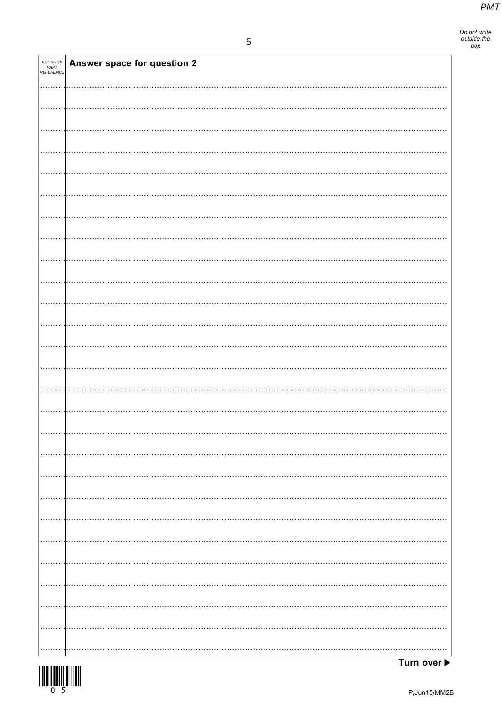| <b>QUESTION<br/>PART<br/>REFERENCE</b> | Answer space for question 2 |
|----------------------------------------|-----------------------------|
|                                        |                             |
|                                        |                             |
|                                        |                             |
|                                        |                             |
|                                        |                             |
|                                        |                             |
|                                        |                             |
|                                        |                             |
|                                        |                             |
|                                        |                             |
|                                        |                             |
|                                        |                             |
|                                        |                             |
|                                        |                             |
|                                        |                             |
|                                        |                             |
|                                        |                             |
|                                        |                             |
|                                        |                             |
|                                        |                             |
|                                        |                             |
|                                        | .                           |
|                                        |                             |
|                                        |                             |
| .                                      |                             |
|                                        |                             |
|                                        |                             |

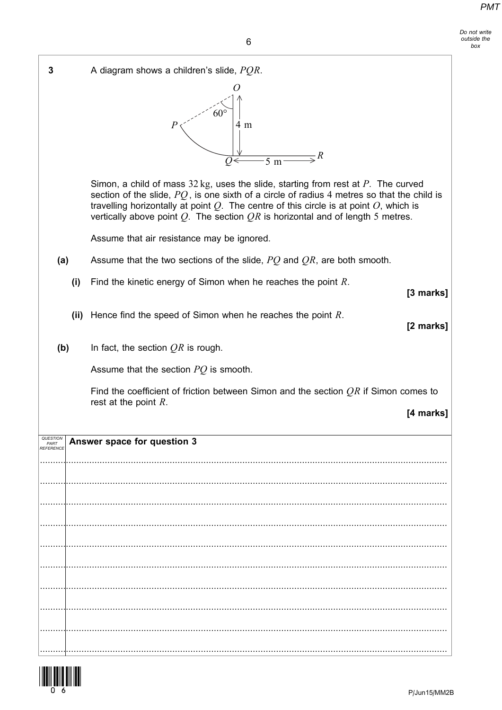Do not write outside the box

6

| 3         | A diagram shows a children's slide, $PQR$ .                                                                                                                                                                                                                                                                                                                                         |
|-----------|-------------------------------------------------------------------------------------------------------------------------------------------------------------------------------------------------------------------------------------------------------------------------------------------------------------------------------------------------------------------------------------|
|           | ( )<br>$60^{\circ}$<br>4 m<br>$\overline{\mathcal{F}}^R$<br>$\overline{5 \text{ m}}$<br>$\overline{Q}$                                                                                                                                                                                                                                                                              |
|           | Simon, a child of mass $32 \text{ kg}$ , uses the slide, starting from rest at P. The curved<br>section of the slide, $PQ$ , is one sixth of a circle of radius 4 metres so that the child is<br>travelling horizontally at point $Q$ . The centre of this circle is at point $O$ , which is<br>vertically above point $Q$ . The section $QR$ is horizontal and of length 5 metres. |
|           | Assume that air resistance may be ignored.                                                                                                                                                                                                                                                                                                                                          |
| (a)       | Assume that the two sections of the slide, $PQ$ and $QR$ , are both smooth.                                                                                                                                                                                                                                                                                                         |
| (i)       | Find the kinetic energy of Simon when he reaches the point $R$ .<br>[3 marks]                                                                                                                                                                                                                                                                                                       |
| (ii)      | Hence find the speed of Simon when he reaches the point $R$ .<br>[2 marks]                                                                                                                                                                                                                                                                                                          |
| (b)       | In fact, the section $QR$ is rough.                                                                                                                                                                                                                                                                                                                                                 |
|           | Assume that the section $PQ$ is smooth.                                                                                                                                                                                                                                                                                                                                             |
|           | Find the coefficient of friction between Simon and the section $QR$ if Simon comes to                                                                                                                                                                                                                                                                                               |
|           | rest at the point $R$ .<br>[4 marks]                                                                                                                                                                                                                                                                                                                                                |
| RFFFRFNCI | Answer space for question 3                                                                                                                                                                                                                                                                                                                                                         |
|           |                                                                                                                                                                                                                                                                                                                                                                                     |
|           |                                                                                                                                                                                                                                                                                                                                                                                     |
|           |                                                                                                                                                                                                                                                                                                                                                                                     |
|           |                                                                                                                                                                                                                                                                                                                                                                                     |
|           |                                                                                                                                                                                                                                                                                                                                                                                     |
|           |                                                                                                                                                                                                                                                                                                                                                                                     |
|           |                                                                                                                                                                                                                                                                                                                                                                                     |
|           |                                                                                                                                                                                                                                                                                                                                                                                     |
|           |                                                                                                                                                                                                                                                                                                                                                                                     |

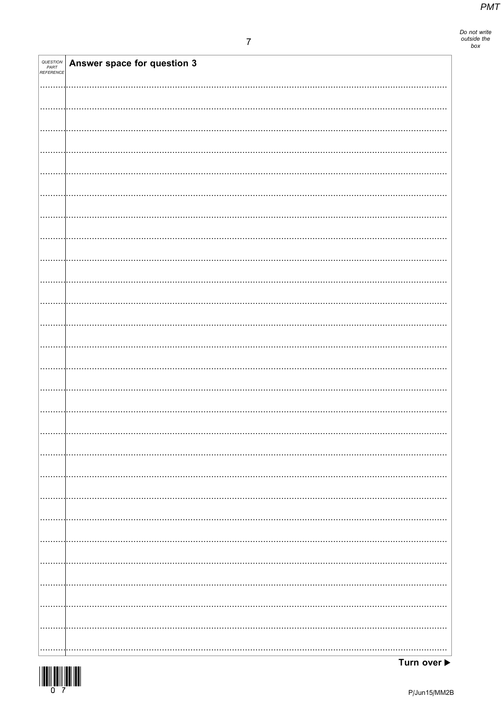Do not write<br>outside the<br>box

| <b>QUESTION<br/>PART<br/>REFERENCE</b> | Answer space for question 3 |
|----------------------------------------|-----------------------------|
|                                        |                             |
|                                        |                             |
|                                        |                             |
|                                        |                             |
|                                        |                             |
|                                        |                             |
|                                        |                             |
|                                        |                             |
|                                        |                             |
|                                        |                             |
|                                        |                             |
|                                        |                             |
|                                        |                             |
|                                        |                             |
|                                        |                             |
|                                        |                             |
|                                        |                             |
|                                        |                             |
|                                        |                             |
|                                        |                             |
|                                        |                             |
|                                        |                             |
|                                        |                             |
|                                        |                             |
|                                        |                             |
|                                        |                             |
|                                        |                             |
|                                        |                             |
| .                                      |                             |
|                                        |                             |
|                                        |                             |
|                                        |                             |
|                                        |                             |
| .                                      |                             |
|                                        |                             |
|                                        |                             |
| .                                      |                             |
|                                        |                             |
|                                        |                             |
|                                        |                             |
|                                        |                             |
|                                        |                             |



Turn over  $\blacktriangleright$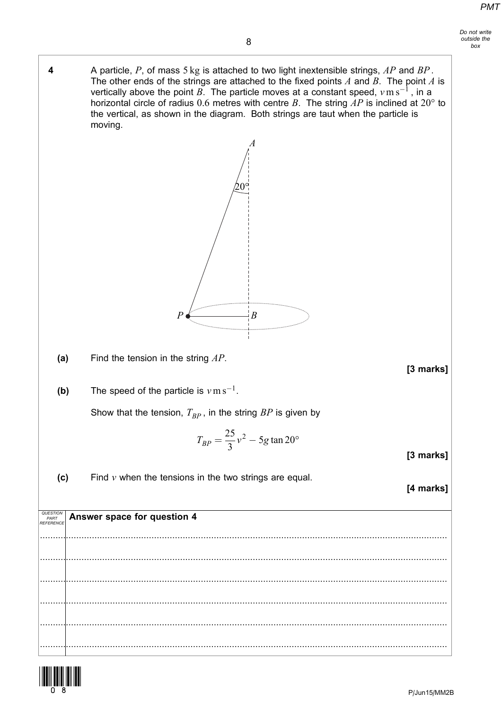- 8 4 A particle, P, of mass  $5 \text{ kg}$  is attached to two light inextensible strings, AP and BP. The other ends of the strings are attached to the fixed points  $A$  and  $B$ . The point  $A$  is vertically above the point  $B$ . The particle moves at a constant speed,  $v\,\mathrm{m\,s^{-1}}$  , in a horizontal circle of radius 0.6 metres with centre B. The string  $AP$  is inclined at 20° to the vertical, as shown in the diagram. Both strings are taut when the particle is (a) Find the tension in the string  $AP$ . [3 marks] (b) The speed of the particle is  $v \, \text{m s}^{-1}$ . Show that the tension,  $T_{BP}$ , in the string  $BP$  is given by  $T_{BP} = \frac{25}{3}v^2 - 5g \tan 20^\circ$ A  $20^{\circ}$  $P \longleftarrow$   $B$ 
	- (c) Find  $\nu$  when the tensions in the two strings are equal.

moving.

[4 marks]

[3 marks]

| <b>QUESTION Answer space for question 4</b> |
|---------------------------------------------|
|                                             |
|                                             |
|                                             |
|                                             |
|                                             |

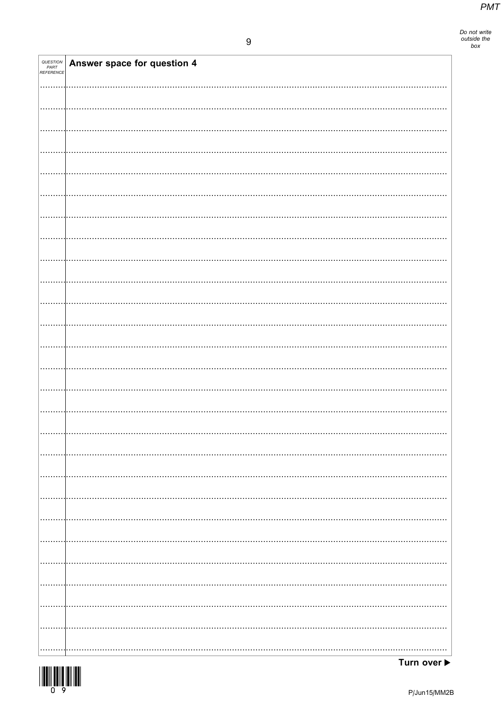| QUESTION<br>PART<br>REFERENCE | Answer space for question 4 |
|-------------------------------|-----------------------------|
|                               |                             |
|                               |                             |
|                               |                             |
|                               |                             |
|                               |                             |
|                               |                             |
|                               |                             |
|                               |                             |
|                               |                             |
|                               |                             |
|                               |                             |
|                               |                             |
|                               |                             |
|                               |                             |
|                               |                             |
|                               |                             |
|                               |                             |
|                               |                             |
|                               |                             |
|                               |                             |
|                               |                             |
|                               |                             |
|                               |                             |
|                               |                             |
|                               |                             |
|                               |                             |
|                               |                             |
|                               |                             |
|                               |                             |

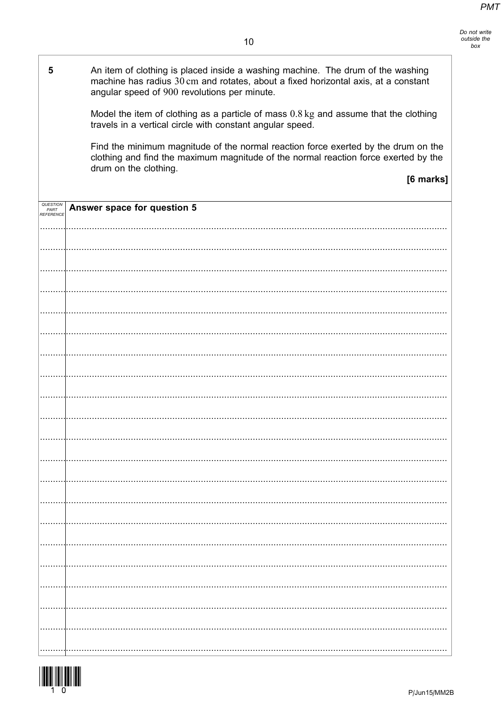| 5                | An item of clothing is placed inside a washing machine. The drum of the washing<br>machine has radius 30 cm and rotates, about a fixed horizontal axis, at a constant<br>angular speed of 900 revolutions per minute. |
|------------------|-----------------------------------------------------------------------------------------------------------------------------------------------------------------------------------------------------------------------|
|                  | Model the item of clothing as a particle of mass $0.8 \text{ kg}$ and assume that the clothing<br>travels in a vertical circle with constant angular speed.                                                           |
|                  | Find the minimum magnitude of the normal reaction force exerted by the drum on the<br>clothing and find the maximum magnitude of the normal reaction force exerted by the<br>drum on the clothing.                    |
|                  | [6 marks]                                                                                                                                                                                                             |
| PART<br>EFERENCE | Answer space for question 5                                                                                                                                                                                           |
|                  |                                                                                                                                                                                                                       |
|                  |                                                                                                                                                                                                                       |
|                  |                                                                                                                                                                                                                       |
|                  |                                                                                                                                                                                                                       |
|                  |                                                                                                                                                                                                                       |
|                  |                                                                                                                                                                                                                       |
|                  |                                                                                                                                                                                                                       |
|                  |                                                                                                                                                                                                                       |
|                  |                                                                                                                                                                                                                       |
|                  |                                                                                                                                                                                                                       |
|                  |                                                                                                                                                                                                                       |
|                  |                                                                                                                                                                                                                       |
|                  |                                                                                                                                                                                                                       |
|                  |                                                                                                                                                                                                                       |
|                  |                                                                                                                                                                                                                       |
|                  |                                                                                                                                                                                                                       |
|                  |                                                                                                                                                                                                                       |

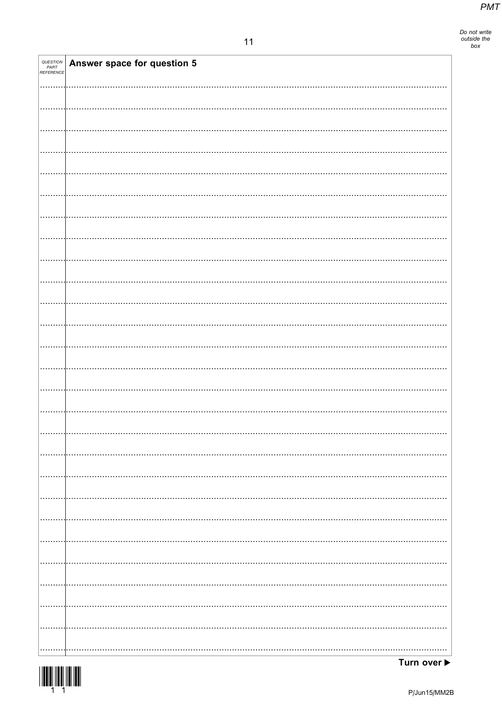Do not write<br>outside the<br>box

| QUESTION<br>PART<br>REFERENCE | Answer space for question 5 |
|-------------------------------|-----------------------------|
|                               |                             |
|                               |                             |
|                               |                             |
|                               |                             |
|                               |                             |
|                               |                             |
|                               |                             |
|                               |                             |
|                               |                             |
|                               |                             |
|                               |                             |
|                               |                             |
|                               |                             |
|                               |                             |
|                               |                             |
|                               |                             |
|                               |                             |
|                               |                             |
|                               |                             |
|                               |                             |
|                               |                             |
|                               |                             |
|                               |                             |
|                               |                             |
|                               |                             |
|                               |                             |



Turn over ▶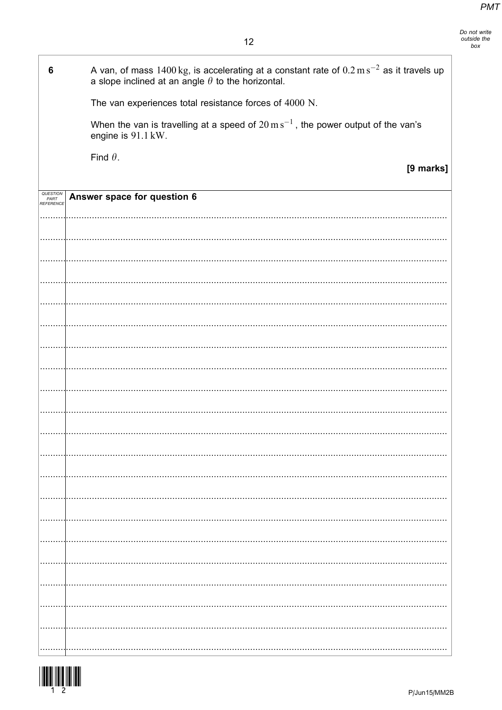$12$ 

| 6                             | A van, of mass $1400 \text{ kg}$ , is accelerating at a constant rate of $0.2 \text{ m s}^{-2}$ as it travels up<br>a slope inclined at an angle $\theta$ to the horizontal. |
|-------------------------------|------------------------------------------------------------------------------------------------------------------------------------------------------------------------------|
|                               | The van experiences total resistance forces of 4000 N.                                                                                                                       |
|                               | When the van is travelling at a speed of $20 \text{ m s}^{-1}$ , the power output of the van's<br>engine is 91.1 kW.                                                         |
|                               | Find $\theta$ .                                                                                                                                                              |
|                               | [9 marks]                                                                                                                                                                    |
| QUESTION<br>PART<br>REFERENCE | Answer space for question 6                                                                                                                                                  |
|                               |                                                                                                                                                                              |
|                               |                                                                                                                                                                              |
|                               |                                                                                                                                                                              |
|                               |                                                                                                                                                                              |
|                               |                                                                                                                                                                              |
|                               |                                                                                                                                                                              |
|                               |                                                                                                                                                                              |
|                               |                                                                                                                                                                              |
|                               |                                                                                                                                                                              |
|                               |                                                                                                                                                                              |
|                               |                                                                                                                                                                              |
|                               |                                                                                                                                                                              |
|                               |                                                                                                                                                                              |
|                               |                                                                                                                                                                              |
|                               |                                                                                                                                                                              |
|                               |                                                                                                                                                                              |
|                               |                                                                                                                                                                              |
|                               |                                                                                                                                                                              |
|                               |                                                                                                                                                                              |
|                               |                                                                                                                                                                              |
|                               |                                                                                                                                                                              |



-F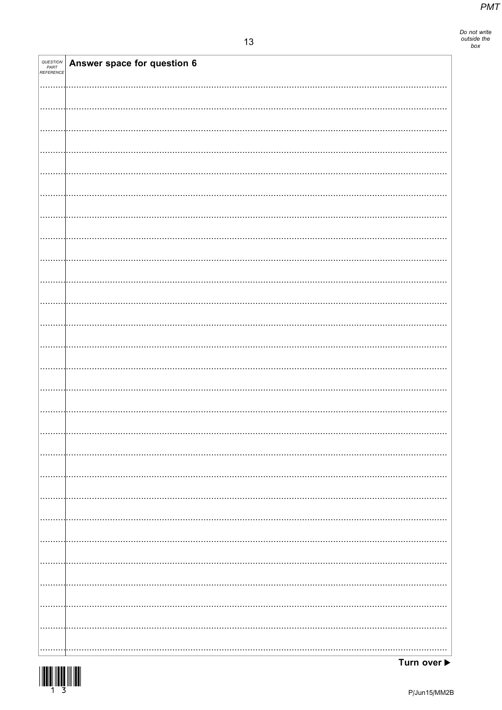| QUESTION<br>PART<br>REFERENCE | Answer space for question 6 |
|-------------------------------|-----------------------------|
|                               |                             |
|                               |                             |
|                               |                             |
|                               |                             |
|                               |                             |
|                               |                             |
|                               |                             |
|                               |                             |
|                               |                             |
|                               |                             |
|                               |                             |
|                               |                             |
|                               |                             |
|                               |                             |
|                               |                             |
|                               |                             |
|                               |                             |
|                               |                             |
|                               |                             |
|                               | .                           |
|                               | .                           |
|                               |                             |
|                               |                             |

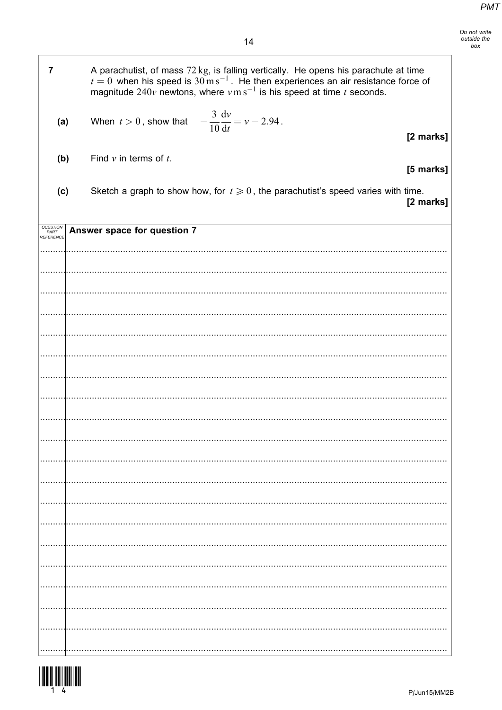| $\overline{7}$                | A parachutist, of mass 72 kg, is falling vertically. He opens his parachute at time<br>$t = 0$ when his speed is $30 \,\mathrm{m\,s^{-1}}$ . He then experiences an air resistance force of<br>magnitude $240v$ newtons, where $v \text{ m s}^{-1}$ is his speed at time t seconds. |           |
|-------------------------------|-------------------------------------------------------------------------------------------------------------------------------------------------------------------------------------------------------------------------------------------------------------------------------------|-----------|
| (a)                           | When $t > 0$ , show that $-\frac{3}{10} \frac{dv}{dt} = v - 2.94$ .                                                                                                                                                                                                                 | [2 marks] |
| (b)                           | Find $v$ in terms of $t$ .                                                                                                                                                                                                                                                          | [5 marks] |
| (c)                           | Sketch a graph to show how, for $t \geq 0$ , the parachutist's speed varies with time.                                                                                                                                                                                              | [2 marks] |
| QUESTION<br>PART<br>REFERENCE | Answer space for question 7                                                                                                                                                                                                                                                         |           |
|                               |                                                                                                                                                                                                                                                                                     |           |
|                               |                                                                                                                                                                                                                                                                                     |           |
|                               |                                                                                                                                                                                                                                                                                     |           |
|                               |                                                                                                                                                                                                                                                                                     |           |
|                               |                                                                                                                                                                                                                                                                                     |           |
|                               |                                                                                                                                                                                                                                                                                     |           |
|                               |                                                                                                                                                                                                                                                                                     |           |
|                               |                                                                                                                                                                                                                                                                                     |           |
|                               |                                                                                                                                                                                                                                                                                     |           |
|                               |                                                                                                                                                                                                                                                                                     |           |
|                               |                                                                                                                                                                                                                                                                                     |           |
|                               |                                                                                                                                                                                                                                                                                     |           |
|                               |                                                                                                                                                                                                                                                                                     |           |
|                               |                                                                                                                                                                                                                                                                                     |           |
|                               |                                                                                                                                                                                                                                                                                     |           |

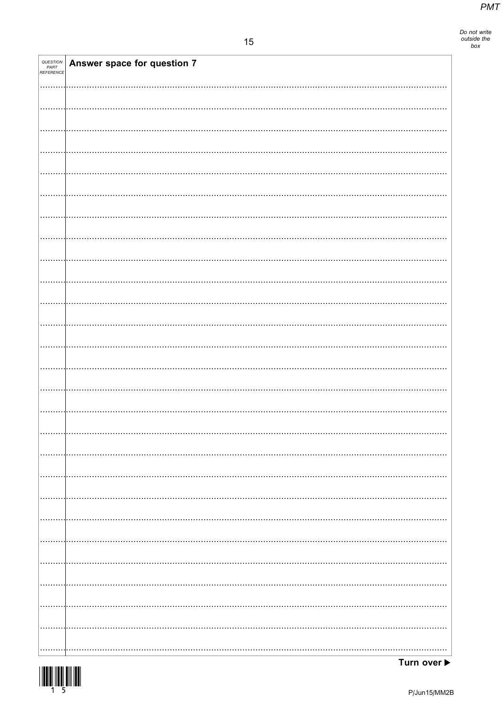| QUESTION<br>PART<br>REFERENCE | Answer space for question 7 |
|-------------------------------|-----------------------------|
|                               |                             |
|                               |                             |
|                               |                             |
|                               |                             |
|                               |                             |
|                               |                             |
|                               |                             |
|                               |                             |
|                               |                             |
|                               |                             |
|                               |                             |
|                               |                             |
|                               |                             |
|                               |                             |
|                               |                             |
|                               |                             |
|                               |                             |
|                               |                             |
|                               |                             |
|                               |                             |
|                               |                             |
|                               |                             |
|                               |                             |
|                               |                             |
|                               |                             |
|                               |                             |

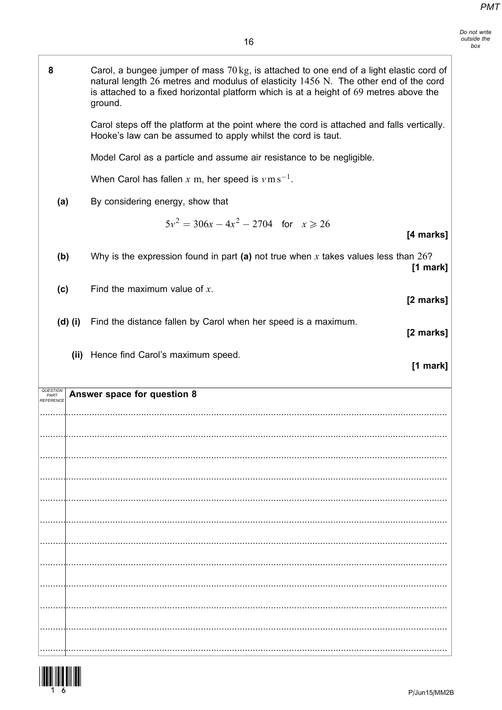| 8         | Carol, a bungee jumper of mass 70 kg, is attached to one end of a light elastic cord of<br>natural length 26 metres and modulus of elasticity 1456 N. The other end of the cord<br>is attached to a fixed horizontal platform which is at a height of 69 metres above the<br>ground. |
|-----------|--------------------------------------------------------------------------------------------------------------------------------------------------------------------------------------------------------------------------------------------------------------------------------------|
|           | Carol steps off the platform at the point where the cord is attached and falls vertically.<br>Hooke's law can be assumed to apply whilst the cord is taut.                                                                                                                           |
|           | Model Carol as a particle and assume air resistance to be negligible.                                                                                                                                                                                                                |
|           | When Carol has fallen x m, her speed is $v \, \text{m s}^{-1}$ .                                                                                                                                                                                                                     |
| (a)       | By considering energy, show that                                                                                                                                                                                                                                                     |
|           | $5v^2 = 306x - 4x^2 - 2704$ for $x \ge 26$<br>[4 marks]                                                                                                                                                                                                                              |
| (b)       | Why is the expression found in part (a) not true when x takes values less than $26$ ?<br>$[1$ mark]                                                                                                                                                                                  |
| (c)       | Find the maximum value of $x$ .<br>[2 marks]                                                                                                                                                                                                                                         |
| $(d)$ (i) | Find the distance fallen by Carol when her speed is a maximum.<br>[2 marks]                                                                                                                                                                                                          |
|           |                                                                                                                                                                                                                                                                                      |
|           | (ii) Hence find Carol's maximum speed.<br>[1 mark]                                                                                                                                                                                                                                   |
| PART      | Answer space for question 8                                                                                                                                                                                                                                                          |
|           |                                                                                                                                                                                                                                                                                      |
|           |                                                                                                                                                                                                                                                                                      |
|           |                                                                                                                                                                                                                                                                                      |
|           |                                                                                                                                                                                                                                                                                      |
|           |                                                                                                                                                                                                                                                                                      |
|           |                                                                                                                                                                                                                                                                                      |
|           |                                                                                                                                                                                                                                                                                      |
|           |                                                                                                                                                                                                                                                                                      |
|           |                                                                                                                                                                                                                                                                                      |
|           |                                                                                                                                                                                                                                                                                      |

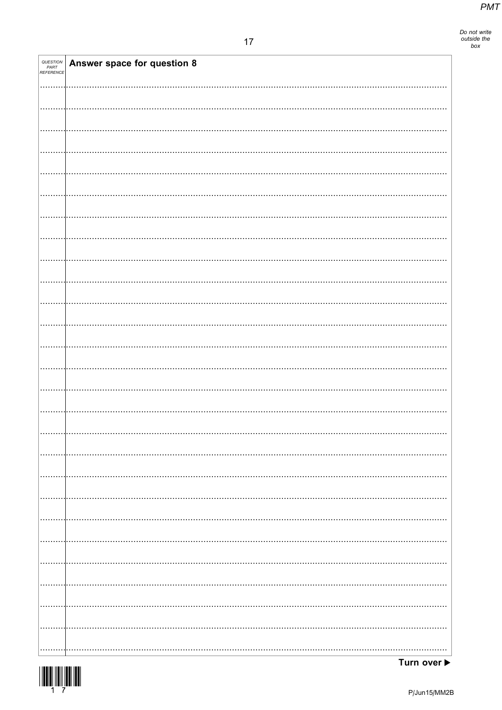| QUESTION<br>PART<br>REFERENCE | Answer space for question 8 |
|-------------------------------|-----------------------------|
|                               |                             |
|                               |                             |
|                               |                             |
|                               |                             |
|                               |                             |
|                               |                             |
|                               |                             |
|                               |                             |
|                               |                             |
|                               |                             |
|                               |                             |
|                               |                             |
|                               |                             |
|                               |                             |
|                               |                             |
|                               |                             |
|                               |                             |
|                               |                             |
|                               | $\cdots$                    |
|                               |                             |
|                               |                             |
|                               |                             |
|                               |                             |
|                               |                             |

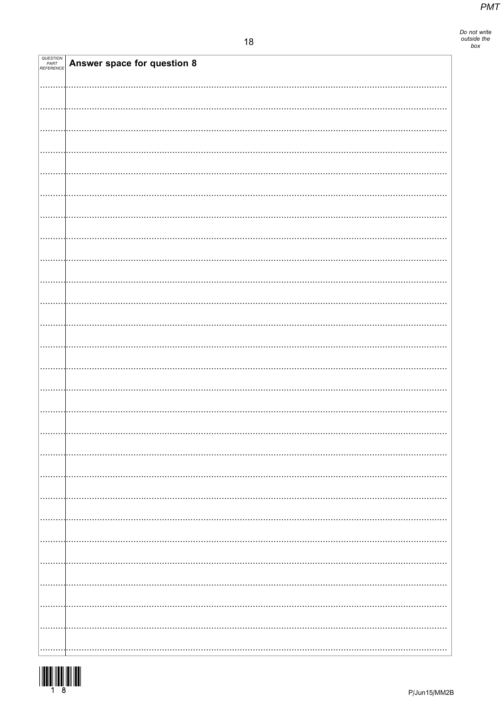| QUESTION<br>PART<br>REFERENCE | Answer space for question 8 |
|-------------------------------|-----------------------------|
|                               |                             |
|                               |                             |
|                               |                             |
|                               |                             |
|                               |                             |
|                               |                             |
|                               |                             |
|                               |                             |
|                               |                             |
|                               |                             |
|                               |                             |
|                               |                             |
|                               |                             |
|                               |                             |
|                               |                             |
|                               |                             |
|                               |                             |
|                               |                             |
|                               |                             |
|                               |                             |
|                               |                             |
|                               |                             |
|                               |                             |
|                               |                             |
|                               |                             |
|                               |                             |
|                               |                             |
|                               |                             |
|                               |                             |
|                               |                             |
|                               |                             |
|                               |                             |

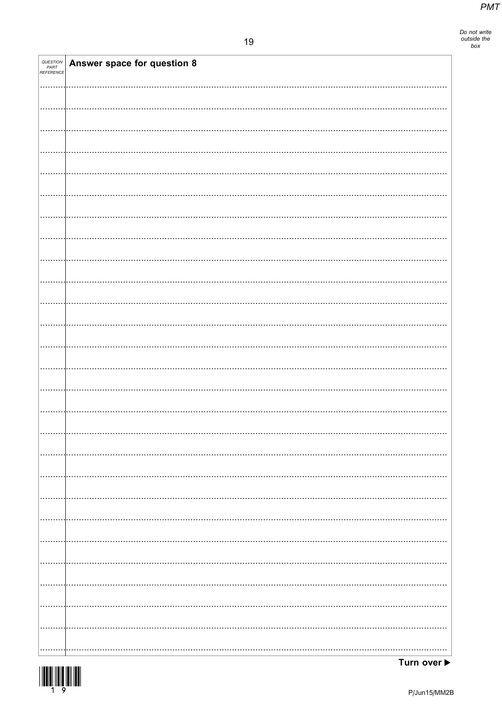Do not write<br>outside the<br>box

| <i>QUESTION<br/>PART<br/>REFERENCE</i> | Answer space for question 8 |  |
|----------------------------------------|-----------------------------|--|
|                                        |                             |  |
|                                        |                             |  |
|                                        |                             |  |
|                                        |                             |  |
|                                        |                             |  |
|                                        |                             |  |
|                                        |                             |  |
|                                        |                             |  |
|                                        |                             |  |
|                                        |                             |  |
|                                        |                             |  |
|                                        |                             |  |
|                                        |                             |  |
|                                        |                             |  |
|                                        |                             |  |
|                                        |                             |  |
|                                        |                             |  |
|                                        |                             |  |
|                                        |                             |  |
|                                        |                             |  |
|                                        |                             |  |
|                                        |                             |  |
|                                        |                             |  |
|                                        |                             |  |
|                                        |                             |  |
|                                        |                             |  |
|                                        |                             |  |
|                                        |                             |  |

Turn over ▶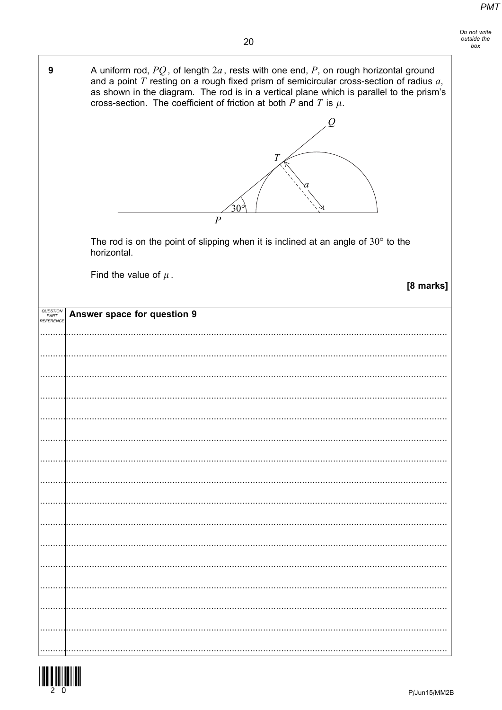| 9                | A uniform rod, $PQ$ , of length $2a$ , rests with one end, P, on rough horizontal ground<br>and a point $T$ resting on a rough fixed prism of semicircular cross-section of radius $a$ ,<br>as shown in the diagram. The rod is in a vertical plane which is parallel to the prism's<br>cross-section. The coefficient of friction at both $P$ and $T$ is $\mu$ . |
|------------------|-------------------------------------------------------------------------------------------------------------------------------------------------------------------------------------------------------------------------------------------------------------------------------------------------------------------------------------------------------------------|
|                  | Ô<br>T<br>$30^{\circ}$                                                                                                                                                                                                                                                                                                                                            |
|                  | $\overline{P}$                                                                                                                                                                                                                                                                                                                                                    |
|                  | The rod is on the point of slipping when it is inclined at an angle of $30^{\circ}$ to the<br>horizontal.                                                                                                                                                                                                                                                         |
|                  | Find the value of $\mu$ .                                                                                                                                                                                                                                                                                                                                         |
|                  | [8 marks]                                                                                                                                                                                                                                                                                                                                                         |
| QUESTION<br>PART | Answer space for question 9                                                                                                                                                                                                                                                                                                                                       |
| REFERENCE        |                                                                                                                                                                                                                                                                                                                                                                   |
|                  |                                                                                                                                                                                                                                                                                                                                                                   |
|                  |                                                                                                                                                                                                                                                                                                                                                                   |
|                  |                                                                                                                                                                                                                                                                                                                                                                   |
|                  |                                                                                                                                                                                                                                                                                                                                                                   |
|                  |                                                                                                                                                                                                                                                                                                                                                                   |
|                  |                                                                                                                                                                                                                                                                                                                                                                   |
|                  |                                                                                                                                                                                                                                                                                                                                                                   |
|                  |                                                                                                                                                                                                                                                                                                                                                                   |
|                  |                                                                                                                                                                                                                                                                                                                                                                   |
|                  |                                                                                                                                                                                                                                                                                                                                                                   |
|                  |                                                                                                                                                                                                                                                                                                                                                                   |
|                  |                                                                                                                                                                                                                                                                                                                                                                   |
|                  |                                                                                                                                                                                                                                                                                                                                                                   |
|                  |                                                                                                                                                                                                                                                                                                                                                                   |
|                  |                                                                                                                                                                                                                                                                                                                                                                   |
|                  |                                                                                                                                                                                                                                                                                                                                                                   |
|                  |                                                                                                                                                                                                                                                                                                                                                                   |
|                  |                                                                                                                                                                                                                                                                                                                                                                   |
|                  |                                                                                                                                                                                                                                                                                                                                                                   |

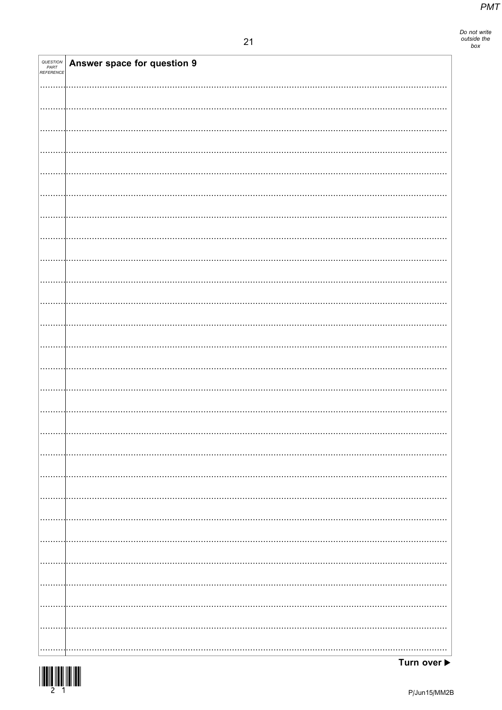| QUESTION<br>PART<br>REFERENCE | Answer space for question 9 |
|-------------------------------|-----------------------------|
|                               |                             |
|                               |                             |
|                               |                             |
|                               |                             |
|                               |                             |
|                               |                             |
|                               |                             |
|                               |                             |
|                               |                             |
|                               |                             |
|                               |                             |
|                               |                             |
|                               |                             |
|                               |                             |
|                               |                             |
|                               |                             |
|                               |                             |
|                               |                             |
|                               |                             |
|                               |                             |
|                               |                             |
|                               |                             |
|                               |                             |
|                               |                             |
|                               |                             |
|                               |                             |
|                               |                             |
|                               |                             |
|                               |                             |
|                               |                             |
|                               |                             |
|                               |                             |
|                               |                             |
|                               |                             |
|                               |                             |
|                               |                             |
|                               |                             |
|                               |                             |
|                               |                             |
|                               |                             |
|                               |                             |
|                               |                             |
|                               |                             |
|                               |                             |
|                               |                             |
|                               |                             |
|                               |                             |
|                               |                             |
|                               |                             |
|                               |                             |
|                               |                             |
|                               |                             |
|                               |                             |
|                               |                             |
|                               |                             |
|                               |                             |
|                               |                             |
|                               |                             |

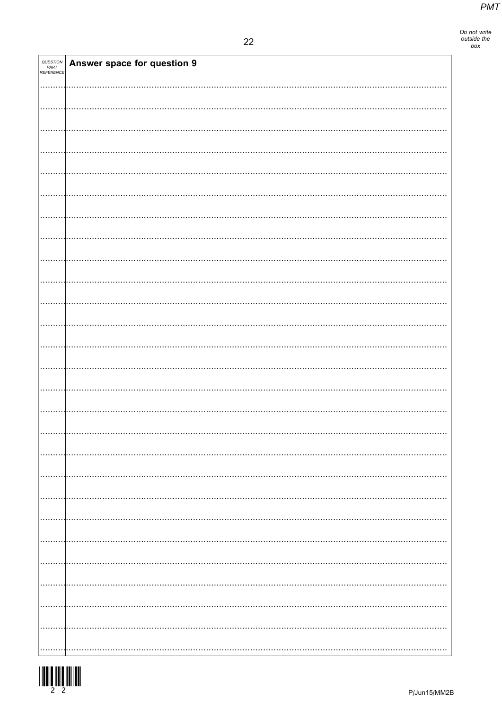| QUESTION<br>PART<br>REFERENCE | <b>Answer space for question 9</b> |  |
|-------------------------------|------------------------------------|--|
|                               |                                    |  |
|                               |                                    |  |
|                               |                                    |  |
|                               |                                    |  |
|                               |                                    |  |
|                               |                                    |  |
|                               |                                    |  |
|                               |                                    |  |
|                               |                                    |  |
|                               |                                    |  |
|                               |                                    |  |
|                               |                                    |  |
|                               |                                    |  |
|                               |                                    |  |
|                               |                                    |  |
|                               |                                    |  |
|                               |                                    |  |
|                               |                                    |  |
|                               |                                    |  |
|                               |                                    |  |
|                               |                                    |  |
|                               | .                                  |  |
|                               |                                    |  |
|                               |                                    |  |
|                               |                                    |  |
|                               |                                    |  |
|                               |                                    |  |
|                               |                                    |  |
|                               | $\cdots$                           |  |
|                               | $\cdots$                           |  |
|                               |                                    |  |



Т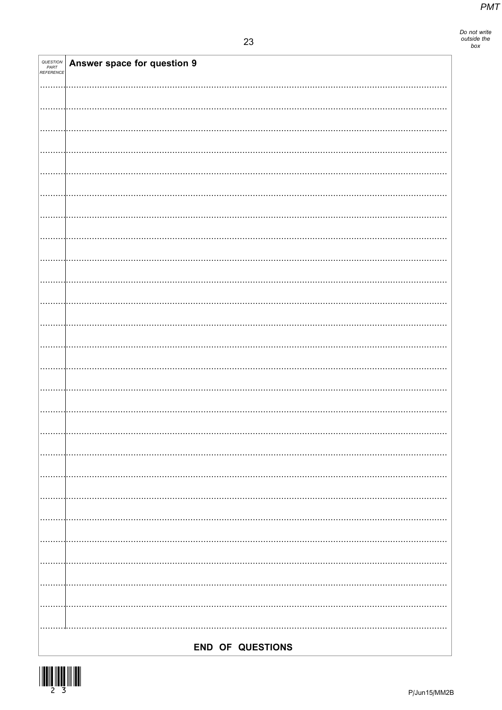| QUESTION<br>PART<br>REFERENCE | Answer space for question 9 |
|-------------------------------|-----------------------------|
|                               |                             |
|                               |                             |
|                               |                             |
|                               |                             |
|                               |                             |
|                               |                             |
|                               |                             |
|                               |                             |
|                               |                             |
|                               |                             |
|                               |                             |
|                               |                             |
|                               |                             |
|                               |                             |
|                               |                             |
|                               |                             |
|                               |                             |
|                               |                             |
|                               |                             |
|                               |                             |
|                               |                             |
|                               |                             |
|                               |                             |
|                               |                             |
|                               |                             |
|                               |                             |
|                               |                             |
|                               |                             |
|                               |                             |
|                               |                             |
|                               |                             |
|                               |                             |
|                               |                             |
|                               |                             |
|                               |                             |
|                               |                             |
|                               |                             |
|                               |                             |
|                               | END OF QUESTIONS            |